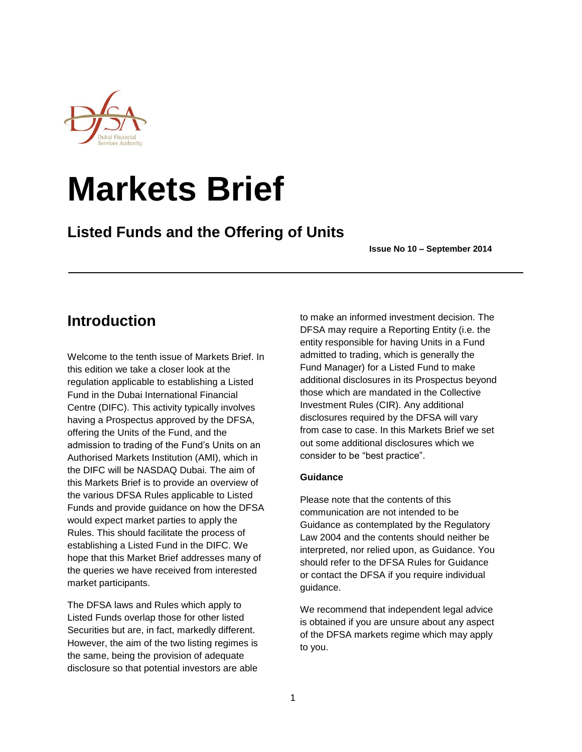

# **Markets Brief**

# **Listed Funds and the Offering of Units**

**Issue No 10 – September 2014**

# **Introduction**

Welcome to the tenth issue of Markets Brief. In this edition we take a closer look at the regulation applicable to establishing a Listed Fund in the Dubai International Financial Centre (DIFC). This activity typically involves having a Prospectus approved by the DFSA, offering the Units of the Fund, and the admission to trading of the Fund's Units on an Authorised Markets Institution (AMI), which in the DIFC will be NASDAQ Dubai. The aim of this Markets Brief is to provide an overview of the various DFSA Rules applicable to Listed Funds and provide guidance on how the DFSA would expect market parties to apply the Rules. This should facilitate the process of establishing a Listed Fund in the DIFC. We hope that this Market Brief addresses many of the queries we have received from interested market participants.

The DFSA laws and Rules which apply to Listed Funds overlap those for other listed Securities but are, in fact, markedly different. However, the aim of the two listing regimes is the same, being the provision of adequate disclosure so that potential investors are able to make an informed investment decision. The DFSA may require a Reporting Entity (i.e. the entity responsible for having Units in a Fund admitted to trading, which is generally the Fund Manager) for a Listed Fund to make additional disclosures in its Prospectus beyond those which are mandated in the Collective Investment Rules (CIR). Any additional disclosures required by the DFSA will vary from case to case. In this Markets Brief we set out some additional disclosures which we consider to be "best practice".

## **Guidance**

Please note that the contents of this communication are not intended to be Guidance as contemplated by the Regulatory Law 2004 and the contents should neither be interpreted, nor relied upon, as Guidance. You should refer to the DFSA Rules for Guidance or contact the DFSA if you require individual guidance.

We recommend that independent legal advice is obtained if you are unsure about any aspect of the DFSA markets regime which may apply to you.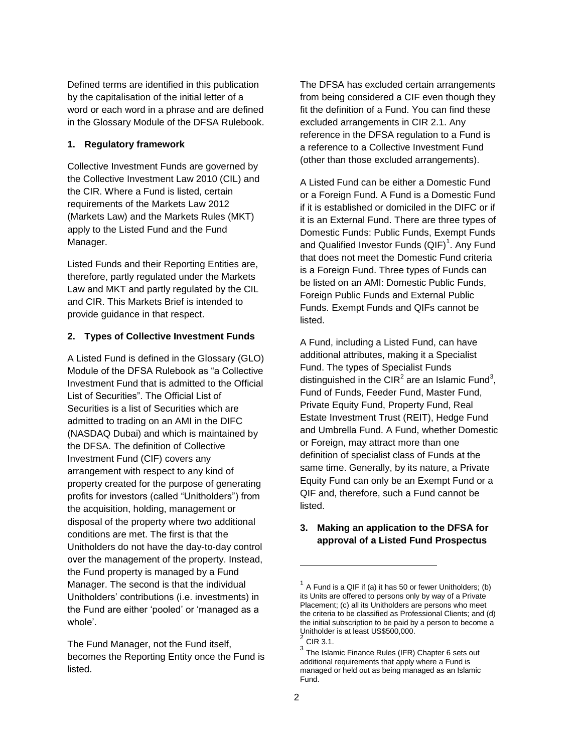Defined terms are identified in this publication by the capitalisation of the initial letter of a word or each word in a phrase and are defined in the Glossary Module of the DFSA Rulebook.

#### **1. Regulatory framework**

Collective Investment Funds are governed by the Collective Investment Law 2010 (CIL) and the CIR. Where a Fund is listed, certain requirements of the Markets Law 2012 (Markets Law) and the Markets Rules (MKT) apply to the Listed Fund and the Fund Manager.

Listed Funds and their Reporting Entities are, therefore, partly regulated under the Markets Law and MKT and partly regulated by the CIL and CIR. This Markets Brief is intended to provide guidance in that respect.

#### **2. Types of Collective Investment Funds**

A Listed Fund is defined in the Glossary (GLO) Module of the DFSA Rulebook as "a Collective Investment Fund that is admitted to the Official List of Securities". The Official List of Securities is a list of Securities which are admitted to trading on an AMI in the DIFC (NASDAQ Dubai) and which is maintained by the DFSA. The definition of Collective Investment Fund (CIF) covers any arrangement with respect to any kind of property created for the purpose of generating profits for investors (called "Unitholders") from the acquisition, holding, management or disposal of the property where two additional conditions are met. The first is that the Unitholders do not have the day-to-day control over the management of the property. Instead, the Fund property is managed by a Fund Manager. The second is that the individual Unitholders' contributions (i.e. investments) in the Fund are either 'pooled' or 'managed as a whole'.

The Fund Manager, not the Fund itself, becomes the Reporting Entity once the Fund is listed.

The DFSA has excluded certain arrangements from being considered a CIF even though they fit the definition of a Fund. You can find these excluded arrangements in CIR 2.1. Any reference in the DFSA regulation to a Fund is a reference to a Collective Investment Fund (other than those excluded arrangements).

A Listed Fund can be either a Domestic Fund or a Foreign Fund. A Fund is a Domestic Fund if it is established or domiciled in the DIFC or if it is an External Fund. There are three types of Domestic Funds: Public Funds, Exempt Funds and Qualified Investor Funds  $(QIF)^1$ . Any Fund that does not meet the Domestic Fund criteria is a Foreign Fund. Three types of Funds can be listed on an AMI: Domestic Public Funds, Foreign Public Funds and External Public Funds. Exempt Funds and QIFs cannot be listed.

A Fund, including a Listed Fund, can have additional attributes, making it a Specialist Fund. The types of Specialist Funds distinguished in the CIR<sup>2</sup> are an Islamic Fund<sup>3</sup>, Fund of Funds, Feeder Fund, Master Fund, Private Equity Fund, Property Fund, Real Estate Investment Trust (REIT), Hedge Fund and Umbrella Fund. A Fund, whether Domestic or Foreign, may attract more than one definition of specialist class of Funds at the same time. Generally, by its nature, a Private Equity Fund can only be an Exempt Fund or a QIF and, therefore, such a Fund cannot be listed.

#### **3. Making an application to the DFSA for approval of a Listed Fund Prospectus**

 $1$  A Fund is a QIF if (a) it has 50 or fewer Unitholders; (b) its Units are offered to persons only by way of a Private Placement; (c) all its Unitholders are persons who meet the criteria to be classified as Professional Clients; and (d) the initial subscription to be paid by a person to become a Unitholder is at least US\$500,000.

 $^2$  CIR 3.1.

 $3$  The Islamic Finance Rules (IFR) Chapter 6 sets out additional requirements that apply where a Fund is managed or held out as being managed as an Islamic Fund.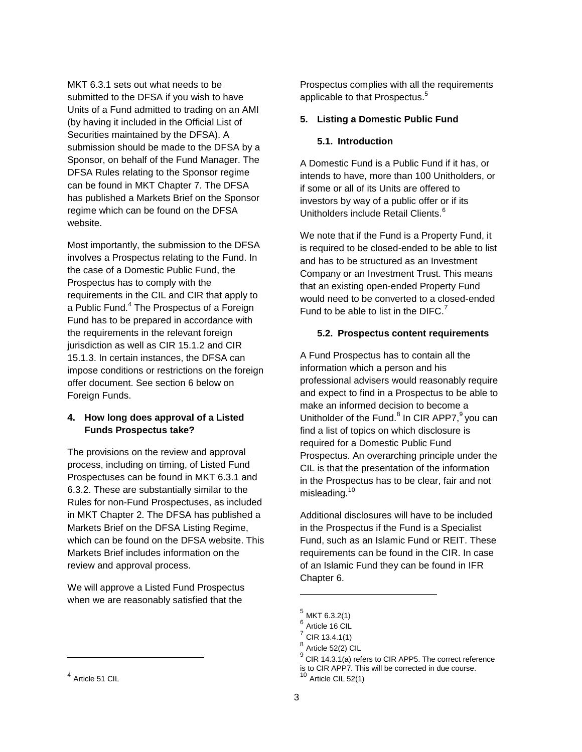MKT 6.3.1 sets out what needs to be submitted to the DFSA if you wish to have Units of a Fund admitted to trading on an AMI (by having it included in the Official List of Securities maintained by the DFSA). A submission should be made to the DFSA by a Sponsor, on behalf of the Fund Manager. The DFSA Rules relating to the Sponsor regime can be found in MKT Chapter 7. The DFSA has published a Markets Brief on the Sponsor regime which can be found on the DFSA website.

Most importantly, the submission to the DFSA involves a Prospectus relating to the Fund. In the case of a Domestic Public Fund, the Prospectus has to comply with the requirements in the CIL and CIR that apply to a Public Fund.<sup>4</sup> The Prospectus of a Foreign Fund has to be prepared in accordance with the requirements in the relevant foreign jurisdiction as well as CIR 15.1.2 and CIR 15.1.3. In certain instances, the DFSA can impose conditions or restrictions on the foreign offer document. See section 6 below on Foreign Funds.

## **4. How long does approval of a Listed Funds Prospectus take?**

The provisions on the review and approval process, including on timing, of Listed Fund Prospectuses can be found in MKT 6.3.1 and 6.3.2. These are substantially similar to the Rules for non-Fund Prospectuses, as included in MKT Chapter 2. The DFSA has published a Markets Brief on the DFSA Listing Regime, which can be found on the DFSA website. This Markets Brief includes information on the review and approval process.

We will approve a Listed Fund Prospectus when we are reasonably satisfied that the

l

Prospectus complies with all the requirements applicable to that Prospectus.<sup>5</sup>

#### **5. Listing a Domestic Public Fund**

#### **5.1. Introduction**

A Domestic Fund is a Public Fund if it has, or intends to have, more than 100 Unitholders, or if some or all of its Units are offered to investors by way of a public offer or if its Unitholders include Retail Clients.<sup>6</sup>

We note that if the Fund is a Property Fund, it is required to be closed-ended to be able to list and has to be structured as an Investment Company or an Investment Trust. This means that an existing open-ended Property Fund would need to be converted to a closed-ended Fund to be able to list in the DIFC. $<sup>7</sup>$ </sup>

#### **5.2. Prospectus content requirements**

A Fund Prospectus has to contain all the information which a person and his professional advisers would reasonably require and expect to find in a Prospectus to be able to make an informed decision to become a Unitholder of the Fund.<sup>8</sup> In CIR APP7,<sup>9</sup> you can find a list of topics on which disclosure is required for a Domestic Public Fund Prospectus. An overarching principle under the CIL is that the presentation of the information in the Prospectus has to be clear, fair and not misleading.<sup>10</sup>

Additional disclosures will have to be included in the Prospectus if the Fund is a Specialist Fund, such as an Islamic Fund or REIT. These requirements can be found in the CIR. In case of an Islamic Fund they can be found in IFR Chapter 6.

<sup>&</sup>lt;sup>4</sup> Article 51 CIL

 $^5$  MKT 6.3.2(1)

<sup>&</sup>lt;sup>6</sup> Article 16 CIL

 $^7$  CIR 13.4.1(1)

 $^8$  Article 52(2) CIL

 $9^9$  CIR 14.3.1(a) refers to CIR APP5. The correct reference is to CIR APP7. This will be corrected in due course.<br>10 . CIR APP7. This will be corrected in due course.

Article CIL 52(1)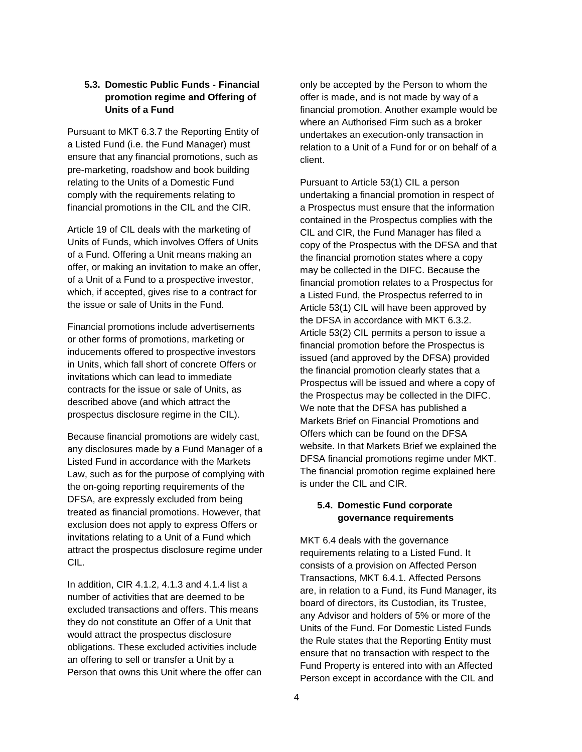#### **5.3. Domestic Public Funds - Financial promotion regime and Offering of Units of a Fund**

Pursuant to MKT 6.3.7 the Reporting Entity of a Listed Fund (i.e. the Fund Manager) must ensure that any financial promotions, such as pre-marketing, roadshow and book building relating to the Units of a Domestic Fund comply with the requirements relating to financial promotions in the CIL and the CIR.

Article 19 of CIL deals with the marketing of Units of Funds, which involves Offers of Units of a Fund. Offering a Unit means making an offer, or making an invitation to make an offer, of a Unit of a Fund to a prospective investor, which, if accepted, gives rise to a contract for the issue or sale of Units in the Fund.

Financial promotions include advertisements or other forms of promotions, marketing or inducements offered to prospective investors in Units, which fall short of concrete Offers or invitations which can lead to immediate contracts for the issue or sale of Units, as described above (and which attract the prospectus disclosure regime in the CIL).

Because financial promotions are widely cast, any disclosures made by a Fund Manager of a Listed Fund in accordance with the Markets Law, such as for the purpose of complying with the on-going reporting requirements of the DFSA, are expressly excluded from being treated as financial promotions. However, that exclusion does not apply to express Offers or invitations relating to a Unit of a Fund which attract the prospectus disclosure regime under CIL.

In addition, CIR 4.1.2, 4.1.3 and 4.1.4 list a number of activities that are deemed to be excluded transactions and offers. This means they do not constitute an Offer of a Unit that would attract the prospectus disclosure obligations. These excluded activities include an offering to sell or transfer a Unit by a Person that owns this Unit where the offer can only be accepted by the Person to whom the offer is made, and is not made by way of a financial promotion. Another example would be where an Authorised Firm such as a broker undertakes an execution-only transaction in relation to a Unit of a Fund for or on behalf of a client.

Pursuant to Article 53(1) CIL a person undertaking a financial promotion in respect of a Prospectus must ensure that the information contained in the Prospectus complies with the CIL and CIR, the Fund Manager has filed a copy of the Prospectus with the DFSA and that the financial promotion states where a copy may be collected in the DIFC. Because the financial promotion relates to a Prospectus for a Listed Fund, the Prospectus referred to in Article 53(1) CIL will have been approved by the DFSA in accordance with MKT 6.3.2. Article 53(2) CIL permits a person to issue a financial promotion before the Prospectus is issued (and approved by the DFSA) provided the financial promotion clearly states that a Prospectus will be issued and where a copy of the Prospectus may be collected in the DIFC. We note that the DFSA has published a Markets Brief on Financial Promotions and Offers which can be found on the DFSA website. In that Markets Brief we explained the DFSA financial promotions regime under MKT. The financial promotion regime explained here is under the CIL and CIR.

#### **5.4. Domestic Fund corporate governance requirements**

MKT 6.4 deals with the governance requirements relating to a Listed Fund. It consists of a provision on Affected Person Transactions, MKT 6.4.1. Affected Persons are, in relation to a Fund, its Fund Manager, its board of directors, its Custodian, its Trustee, any Advisor and holders of 5% or more of the Units of the Fund. For Domestic Listed Funds the Rule states that the Reporting Entity must ensure that no transaction with respect to the Fund Property is entered into with an Affected Person except in accordance with the CIL and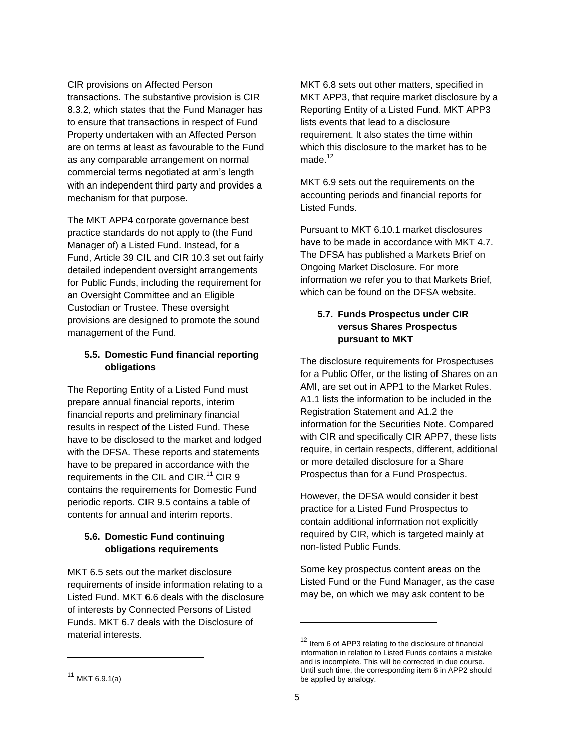#### CIR provisions on Affected Person

transactions. The substantive provision is CIR 8.3.2, which states that the Fund Manager has to ensure that transactions in respect of Fund Property undertaken with an Affected Person are on terms at least as favourable to the Fund as any comparable arrangement on normal commercial terms negotiated at arm's length with an independent third party and provides a mechanism for that purpose.

The MKT APP4 corporate governance best practice standards do not apply to (the Fund Manager of) a Listed Fund. Instead, for a Fund, Article 39 CIL and CIR 10.3 set out fairly detailed independent oversight arrangements for Public Funds, including the requirement for an Oversight Committee and an Eligible Custodian or Trustee. These oversight provisions are designed to promote the sound management of the Fund.

## **5.5. Domestic Fund financial reporting obligations**

The Reporting Entity of a Listed Fund must prepare annual financial reports, interim financial reports and preliminary financial results in respect of the Listed Fund. These have to be disclosed to the market and lodged with the DFSA. These reports and statements have to be prepared in accordance with the requirements in the CIL and CIR.<sup>11</sup> CIR 9 contains the requirements for Domestic Fund periodic reports. CIR 9.5 contains a table of contents for annual and interim reports.

### **5.6. Domestic Fund continuing obligations requirements**

MKT 6.5 sets out the market disclosure requirements of inside information relating to a Listed Fund. MKT 6.6 deals with the disclosure of interests by Connected Persons of Listed Funds. MKT 6.7 deals with the Disclosure of material interests.

MKT 6.8 sets out other matters, specified in MKT APP3, that require market disclosure by a Reporting Entity of a Listed Fund. MKT APP3 lists events that lead to a disclosure requirement. It also states the time within which this disclosure to the market has to be made $12$ 

MKT 6.9 sets out the requirements on the accounting periods and financial reports for Listed Funds.

Pursuant to MKT 6.10.1 market disclosures have to be made in accordance with MKT 4.7. The DFSA has published a Markets Brief on Ongoing Market Disclosure. For more information we refer you to that Markets Brief, which can be found on the DFSA website.

## **5.7. Funds Prospectus under CIR versus Shares Prospectus pursuant to MKT**

The disclosure requirements for Prospectuses for a Public Offer, or the listing of Shares on an AMI, are set out in APP1 to the Market Rules. A1.1 lists the information to be included in the Registration Statement and A1.2 the information for the Securities Note. Compared with CIR and specifically CIR APP7, these lists require, in certain respects, different, additional or more detailed disclosure for a Share Prospectus than for a Fund Prospectus.

However, the DFSA would consider it best practice for a Listed Fund Prospectus to contain additional information not explicitly required by CIR, which is targeted mainly at non-listed Public Funds.

Some key prospectus content areas on the Listed Fund or the Fund Manager, as the case may be, on which we may ask content to be

l

<sup>12</sup> Item 6 of APP3 relating to the disclosure of financial information in relation to Listed Funds contains a mistake and is incomplete. This will be corrected in due course. Until such time, the corresponding item 6 in APP2 should be applied by analogy.

 $11$  MKT 6.9.1(a)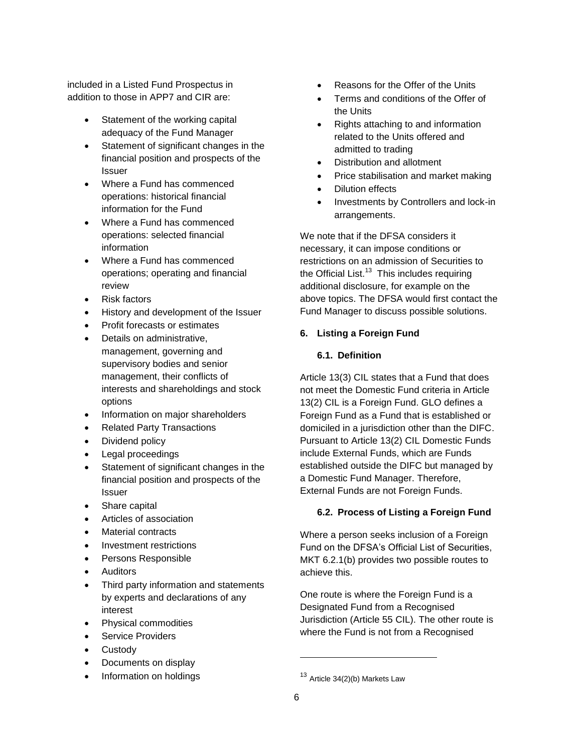included in a Listed Fund Prospectus in addition to those in APP7 and CIR are:

- Statement of the working capital adequacy of the Fund Manager
- Statement of significant changes in the financial position and prospects of the Issuer
- Where a Fund has commenced operations: historical financial information for the Fund
- Where a Fund has commenced operations: selected financial information
- Where a Fund has commenced operations; operating and financial review
- Risk factors
- History and development of the Issuer
- Profit forecasts or estimates
- Details on administrative, management, governing and supervisory bodies and senior management, their conflicts of interests and shareholdings and stock options
- Information on major shareholders
- Related Party Transactions
- Dividend policy
- Legal proceedings
- Statement of significant changes in the financial position and prospects of the Issuer
- Share capital
- Articles of association
- Material contracts
- Investment restrictions
- Persons Responsible
- Auditors
- Third party information and statements by experts and declarations of any interest
- Physical commodities
- Service Providers
- **Custody**
- Documents on display
- Information on holdings
- Reasons for the Offer of the Units
- Terms and conditions of the Offer of the Units
- Rights attaching to and information related to the Units offered and admitted to trading
- Distribution and allotment
- Price stabilisation and market making
- Dilution effects
- Investments by Controllers and lock-in arrangements.

We note that if the DFSA considers it necessary, it can impose conditions or restrictions on an admission of Securities to the Official List.<sup>13</sup> This includes requiring additional disclosure, for example on the above topics. The DFSA would first contact the Fund Manager to discuss possible solutions.

# **6. Listing a Foreign Fund**

# **6.1. Definition**

Article 13(3) CIL states that a Fund that does not meet the Domestic Fund criteria in Article 13(2) CIL is a Foreign Fund. GLO defines a Foreign Fund as a Fund that is established or domiciled in a jurisdiction other than the DIFC. Pursuant to Article 13(2) CIL Domestic Funds include External Funds, which are Funds established outside the DIFC but managed by a Domestic Fund Manager. Therefore, External Funds are not Foreign Funds.

# **6.2. Process of Listing a Foreign Fund**

Where a person seeks inclusion of a Foreign Fund on the DFSA's Official List of Securities, MKT 6.2.1(b) provides two possible routes to achieve this.

One route is where the Foreign Fund is a Designated Fund from a Recognised Jurisdiction (Article 55 CIL). The other route is where the Fund is not from a Recognised

<sup>13</sup> Article 34(2)(b) Markets Law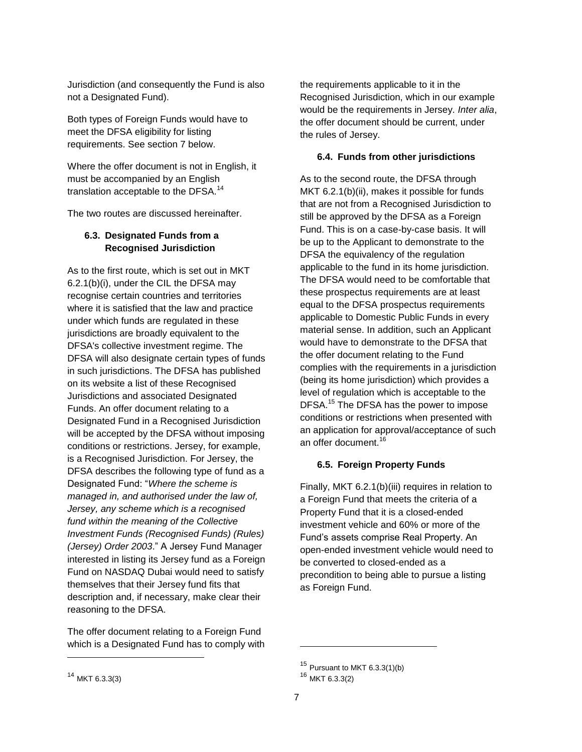Jurisdiction (and consequently the Fund is also not a Designated Fund).

Both types of Foreign Funds would have to meet the DFSA eligibility for listing requirements. See section 7 below.

Where the offer document is not in English, it must be accompanied by an English translation acceptable to the DFSA.<sup>14</sup>

The two routes are discussed hereinafter.

# **6.3. Designated Funds from a Recognised Jurisdiction**

As to the first route, which is set out in MKT 6.2.1(b)(i), under the CIL the DFSA may recognise certain countries and territories where it is satisfied that the law and practice under which funds are regulated in these jurisdictions are broadly equivalent to the DFSA's collective investment regime. The DFSA will also designate certain types of funds in such jurisdictions. The DFSA has published on its website a list of these Recognised Jurisdictions and associated Designated Funds. An offer document relating to a Designated Fund in a Recognised Jurisdiction will be accepted by the DFSA without imposing conditions or restrictions. Jersey, for example, is a Recognised Jurisdiction. For Jersey, the DFSA describes the following type of fund as a Designated Fund: "*Where the scheme is managed in, and authorised under the law of, Jersey, any scheme which is a recognised fund within the meaning of the Collective Investment Funds (Recognised Funds) (Rules) (Jersey) Order 2003*." A Jersey Fund Manager interested in listing its Jersey fund as a Foreign Fund on NASDAQ Dubai would need to satisfy themselves that their Jersey fund fits that description and, if necessary, make clear their reasoning to the DFSA.

The offer document relating to a Foreign Fund which is a Designated Fund has to comply with the requirements applicable to it in the Recognised Jurisdiction, which in our example would be the requirements in Jersey. *Inter alia*, the offer document should be current, under the rules of Jersey.

#### **6.4. Funds from other jurisdictions**

As to the second route, the DFSA through MKT 6.2.1(b)(ii), makes it possible for funds that are not from a Recognised Jurisdiction to still be approved by the DFSA as a Foreign Fund. This is on a case-by-case basis. It will be up to the Applicant to demonstrate to the DFSA the equivalency of the regulation applicable to the fund in its home jurisdiction. The DFSA would need to be comfortable that these prospectus requirements are at least equal to the DFSA prospectus requirements applicable to Domestic Public Funds in every material sense. In addition, such an Applicant would have to demonstrate to the DFSA that the offer document relating to the Fund complies with the requirements in a jurisdiction (being its home jurisdiction) which provides a level of regulation which is acceptable to the DFSA.<sup>15</sup> The DFSA has the power to impose conditions or restrictions when presented with an application for approval/acceptance of such an offer document.<sup>16</sup>

#### **6.5. Foreign Property Funds**

Finally, MKT 6.2.1(b)(iii) requires in relation to a Foreign Fund that meets the criteria of a Property Fund that it is a closed-ended investment vehicle and 60% or more of the Fund's assets comprise Real Property. An open-ended investment vehicle would need to be converted to closed-ended as a precondition to being able to pursue a listing as Foreign Fund.

l

<sup>15</sup> Pursuant to MKT 6.3.3(1)(b)

<sup>16</sup> MKT 6.3.3(2)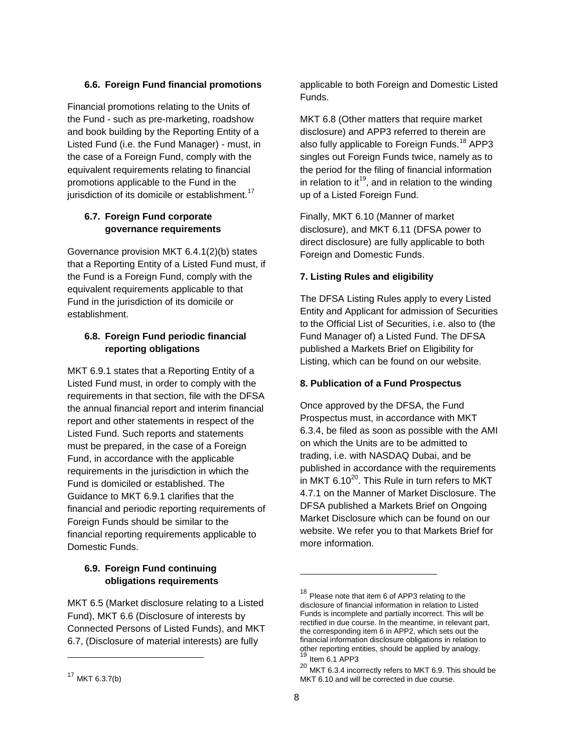#### **6.6. Foreign Fund financial promotions**

Financial promotions relating to the Units of the Fund - such as pre-marketing, roadshow and book building by the Reporting Entity of a Listed Fund (i.e. the Fund Manager) - must, in the case of a Foreign Fund, comply with the equivalent requirements relating to financial promotions applicable to the Fund in the jurisdiction of its domicile or establishment.<sup>17</sup>

## **6.7. Foreign Fund corporate governance requirements**

Governance provision MKT 6.4.1(2)(b) states that a Reporting Entity of a Listed Fund must, if the Fund is a Foreign Fund, comply with the equivalent requirements applicable to that Fund in the jurisdiction of its domicile or establishment.

#### **6.8. Foreign Fund periodic financial reporting obligations**

MKT 6.9.1 states that a Reporting Entity of a Listed Fund must, in order to comply with the requirements in that section, file with the DFSA the annual financial report and interim financial report and other statements in respect of the Listed Fund. Such reports and statements must be prepared, in the case of a Foreign Fund, in accordance with the applicable requirements in the jurisdiction in which the Fund is domiciled or established. The Guidance to MKT 6.9.1 clarifies that the financial and periodic reporting requirements of Foreign Funds should be similar to the financial reporting requirements applicable to Domestic Funds.

# **6.9. Foreign Fund continuing obligations requirements**

MKT 6.5 (Market disclosure relating to a Listed Fund), MKT 6.6 (Disclosure of interests by Connected Persons of Listed Funds), and MKT 6.7, (Disclosure of material interests) are fully

l

applicable to both Foreign and Domestic Listed Funds.

MKT 6.8 (Other matters that require market disclosure) and APP3 referred to therein are also fully applicable to Foreign Funds.<sup>18</sup> APP3 singles out Foreign Funds twice, namely as to the period for the filing of financial information in relation to it<sup>19</sup>, and in relation to the winding up of a Listed Foreign Fund.

Finally, MKT 6.10 (Manner of market disclosure), and MKT 6.11 (DFSA power to direct disclosure) are fully applicable to both Foreign and Domestic Funds.

#### **7. Listing Rules and eligibility**

The DFSA Listing Rules apply to every Listed Entity and Applicant for admission of Securities to the Official List of Securities, i.e. also to (the Fund Manager of) a Listed Fund. The DFSA published a Markets Brief on Eligibility for Listing, which can be found on our website.

#### **8. Publication of a Fund Prospectus**

Once approved by the DFSA, the Fund Prospectus must, in accordance with MKT 6.3.4, be filed as soon as possible with the AMI on which the Units are to be admitted to trading, i.e. with NASDAQ Dubai, and be published in accordance with the requirements in MKT  $6.10^{20}$ . This Rule in turn refers to MKT 4.7.1 on the Manner of Market Disclosure. The DFSA published a Markets Brief on Ongoing Market Disclosure which can be found on our website. We refer you to that Markets Brief for more information.

 $17$  MKT 6.3.7(b)

<sup>&</sup>lt;sup>18</sup> Please note that item 6 of APP3 relating to the disclosure of financial information in relation to Listed Funds is incomplete and partially incorrect. This will be rectified in due course. In the meantime, in relevant part, the corresponding item 6 in APP2, which sets out the financial information disclosure obligations in relation to other reporting entities, should be applied by analogy. Item 6.1 APP3

<sup>20</sup> MKT 6.3.4 incorrectly refers to MKT 6.9. This should be MKT 6.10 and will be corrected in due course.